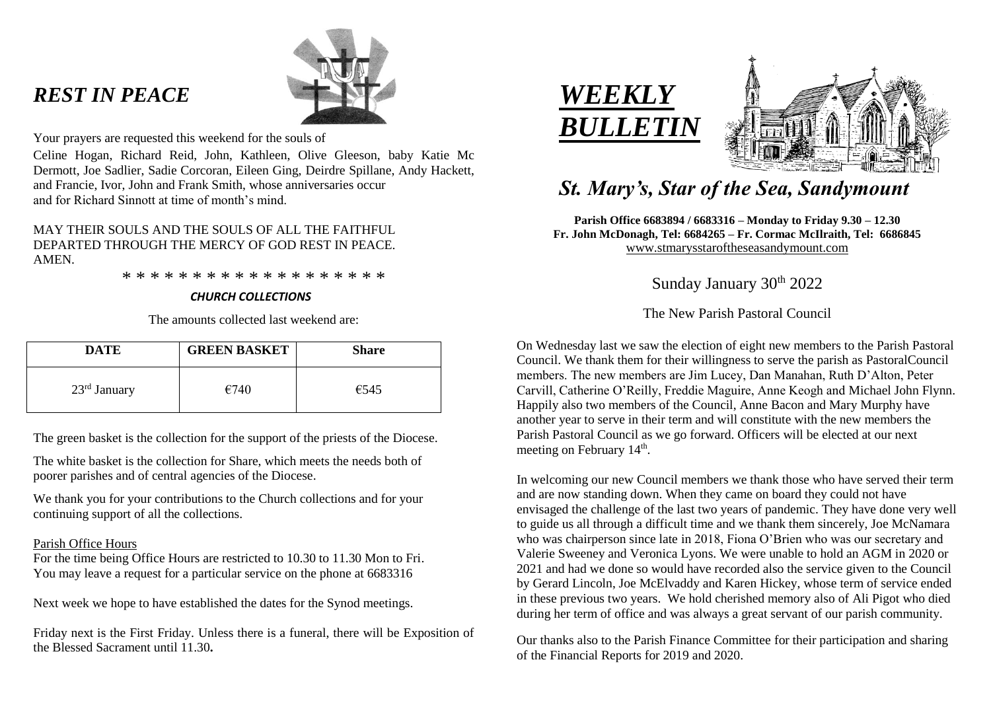# *REST IN PEACE*



Your prayers are requested this weekend for the souls of

Celine Hogan, Richard Reid, John, Kathleen, Olive Gleeson, baby Katie Mc Dermott, Joe Sadlier, Sadie Corcoran, Eileen Ging, Deirdre Spillane, Andy Hackett, and Francie, Ivor, John and Frank Smith, whose anniversaries occur and for Richard Sinnott at time of month's mind.

# MAY THEIR SOULS AND THE SOULS OF ALL THE FAITHFUL DEPARTED THROUGH THE MERCY OF GOD REST IN PEACE. **AMEN**

\* \* \* \* \* \* \* \* \* \* \* \* \* \* \* \* \* \* \*

## *CHURCH COLLECTIONS*

The amounts collected last weekend are:

| <b>DATE</b>    | <b>GREEN BASKET</b> | <b>Share</b> |
|----------------|---------------------|--------------|
| $23rd$ January | €740                | €545         |

The green basket is the collection for the support of the priests of the Diocese.

The white basket is the collection for Share, which meets the needs both of poorer parishes and of central agencies of the Diocese.

We thank you for your contributions to the Church collections and for your continuing support of all the collections.

## Parish Office Hours

For the time being Office Hours are restricted to 10.30 to 11.30 Mon to Fri. You may leave a request for a particular service on the phone at 6683316

Next week we hope to have established the dates for the Synod meetings.

Friday next is the First Friday. Unless there is a funeral, there will be Exposition of the Blessed Sacrament until 11.30**.**





# *St. Mary's, Star of the Sea, Sandymount*

**Parish Office 6683894 / 6683316 – Monday to Friday 9.30 – 12.30 Fr. John McDonagh, Tel: 6684265 – Fr. Cormac McIlraith, Tel: 6686845** [www.stmarysstaroftheseasandymount.com](http://www.stmarysstaroftheseasandymount.com/)

Sunday January 30<sup>th</sup> 2022

The New Parish Pastoral Council

On Wednesday last we saw the election of eight new members to the Parish Pastoral Council. We thank them for their willingness to serve the parish as PastoralCouncil members. The new members are Jim Lucey, Dan Manahan, Ruth D'Alton, Peter Carvill, Catherine O'Reilly, Freddie Maguire, Anne Keogh and Michael John Flynn. Happily also two members of the Council, Anne Bacon and Mary Murphy have another year to serve in their term and will constitute with the new members the Parish Pastoral Council as we go forward. Officers will be elected at our next meeting on February 14<sup>th</sup>.

In welcoming our new Council members we thank those who have served their term and are now standing down. When they came on board they could not have envisaged the challenge of the last two years of pandemic. They have done very well to guide us all through a difficult time and we thank them sincerely, Joe McNamara who was chairperson since late in 2018, Fiona O'Brien who was our secretary and Valerie Sweeney and Veronica Lyons. We were unable to hold an AGM in 2020 or 2021 and had we done so would have recorded also the service given to the Council by Gerard Lincoln, Joe McElvaddy and Karen Hickey, whose term of service ended in these previous two years. We hold cherished memory also of Ali Pigot who died during her term of office and was always a great servant of our parish community.

Our thanks also to the Parish Finance Committee for their participation and sharing of the Financial Reports for 2019 and 2020.